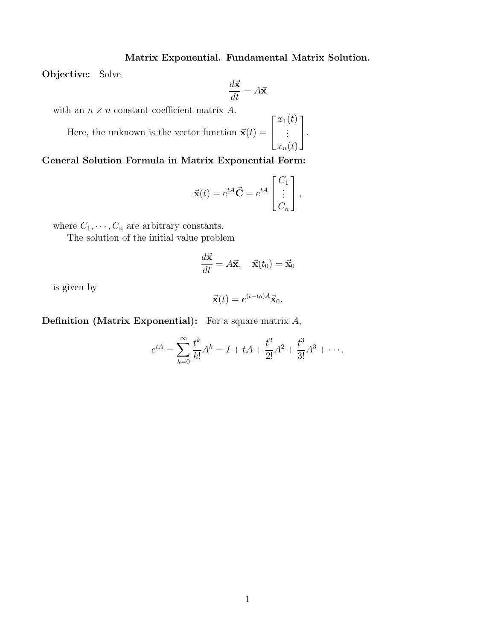## Matrix Exponential. Fundamental Matrix Solution.

Objective: Solve

$$
\frac{d\vec{\mathbf{x}}}{dt} = A\vec{\mathbf{x}}
$$

with an  $n \times n$  constant coefficient matrix A.

Here, the unknown is the vector function  $\vec{\mathbf{x}}(t) =$  $\sqrt{ }$  $\overline{1}$  $x_1(t)$ . . .  $x_n(t)$ 1  $\vert \cdot$ 

## General Solution Formula in Matrix Exponential Form:

$$
\vec{\mathbf{x}}(t) = e^{tA}\vec{\mathbf{C}} = e^{tA} \begin{bmatrix} C_1 \\ \vdots \\ C_n \end{bmatrix},
$$

where  $C_1, \dots, C_n$  are arbitrary constants.

The solution of the initial value problem

$$
\frac{d\vec{\mathbf{x}}}{dt} = A\vec{\mathbf{x}}, \quad \vec{\mathbf{x}}(t_0) = \vec{\mathbf{x}}_0
$$

is given by

$$
\vec{\mathbf{x}}(t) = e^{(t-t_0)A}\vec{\mathbf{x}}_0.
$$

**Definition (Matrix Exponential):** For a square matrix  $A$ ,

$$
e^{tA} = \sum_{k=0}^{\infty} \frac{t^k}{k!} A^k = I + tA + \frac{t^2}{2!} A^2 + \frac{t^3}{3!} A^3 + \cdots
$$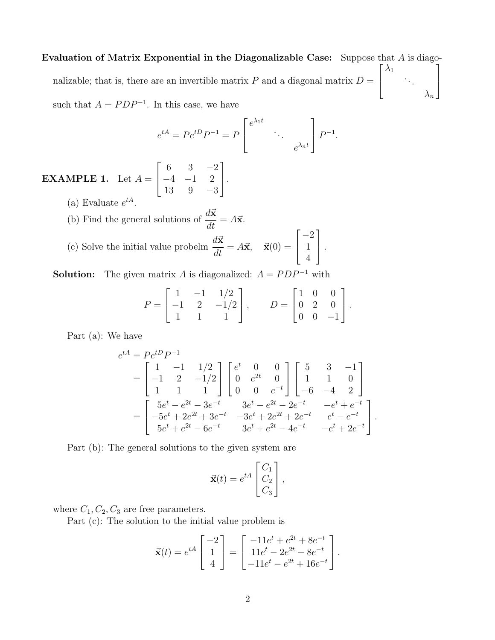Evaluation of Matrix Exponential in the Diagonalizable Case: Suppose that  $A$  is diagonalizable; that is, there are an invertible matrix  $P$  and a diagonal matrix  $D =$  $\sqrt{ }$  $\overline{1}$  $\lambda_1$ . . .  $\lambda_n$ 1  $\overline{1}$ such that  $A = PDP^{-1}$ . In this case, we have

$$
e^{tA} = Pe^{tD}P^{-1} = P\begin{bmatrix} e^{\lambda_1 t} & & \\ & \ddots & \\ & & e^{\lambda_n t} \end{bmatrix} P^{-1}.
$$

**EXAMPLE 1.** Let  $A =$  $\sqrt{ }$  $\overline{\phantom{a}}$ 6 3 −2  $-4$   $-1$  2 13 9 −3 1  $\vert \cdot$ (a) Evaluate  $e^{tA}$ .

(b) Find the general solutions of  $\frac{d\vec{x}}{dx}$  $\frac{d\mathbf{x}}{dt} = A\vec{\mathbf{x}}.$ 

(c) Solve the initial value problem 
$$
\frac{d\vec{x}}{dt} = A\vec{x}
$$
,  $\vec{x}(0) = \begin{bmatrix} -2 \\ 1 \\ 4 \end{bmatrix}$ .

**Solution:** The given matrix A is diagonalized:  $A = PDP^{-1}$  with

$$
P = \begin{bmatrix} 1 & -1 & 1/2 \\ -1 & 2 & -1/2 \\ 1 & 1 & 1 \end{bmatrix}, \qquad D = \begin{bmatrix} 1 & 0 & 0 \\ 0 & 2 & 0 \\ 0 & 0 & -1 \end{bmatrix}.
$$

Part (a): We have

$$
e^{tA} = Pe^{tD}P^{-1}
$$
  
=  $\begin{bmatrix} 1 & -1 & 1/2 \\ -1 & 2 & -1/2 \\ 1 & 1 & 1 \end{bmatrix} \begin{bmatrix} e^t & 0 & 0 \\ 0 & e^{2t} & 0 \\ 0 & 0 & e^{-t} \end{bmatrix} \begin{bmatrix} 5 & 3 & -1 \\ 1 & 1 & 0 \\ -6 & -4 & 2 \end{bmatrix}$   
=  $\begin{bmatrix} 5e^t - e^{2t} - 3e^{-t} & 3e^t - e^{2t} - 2e^{-t} & -e^t + e^{-t} \\ -5e^t + 2e^{2t} + 3e^{-t} & -3e^t + 2e^{2t} + 2e^{-t} & e^t - e^{-t} \\ 5e^t + e^{2t} - 6e^{-t} & 3e^t + e^{2t} - 4e^{-t} & -e^t + 2e^{-t} \end{bmatrix}.$ 

Part (b): The general solutions to the given system are

$$
\vec{\mathbf{x}}(t) = e^{tA} \begin{bmatrix} C_1 \\ C_2 \\ C_3 \end{bmatrix},
$$

where  $C_1, C_2, C_3$  are free parameters.

Part (c): The solution to the initial value problem is

$$
\vec{\mathbf{x}}(t) = e^{tA} \begin{bmatrix} -2 \\ 1 \\ 4 \end{bmatrix} = \begin{bmatrix} -11e^{t} + e^{2t} + 8e^{-t} \\ 11e^{t} - 2e^{2t} - 8e^{-t} \\ -11e^{t} - e^{2t} + 16e^{-t} \end{bmatrix}.
$$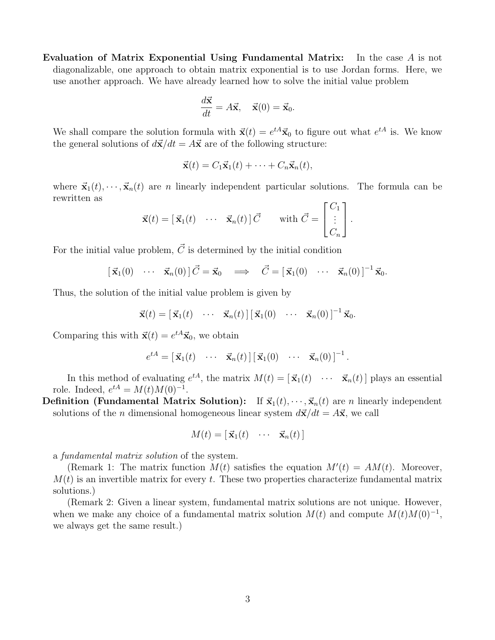Evaluation of Matrix Exponential Using Fundamental Matrix: In the case A is not diagonalizable, one approach to obtain matrix exponential is to use Jordan forms. Here, we use another approach. We have already learned how to solve the initial value problem

$$
\frac{d\vec{\mathbf{x}}}{dt} = A\vec{\mathbf{x}}, \quad \vec{\mathbf{x}}(0) = \vec{\mathbf{x}}_0.
$$

We shall compare the solution formula with  $\vec{x}(t) = e^{tA}\vec{x}_0$  to figure out what  $e^{tA}$  is. We know the general solutions of  $d\vec{x}/dt = A\vec{x}$  are of the following structure:

$$
\vec{\mathbf{x}}(t) = C_1 \vec{\mathbf{x}}_1(t) + \cdots + C_n \vec{\mathbf{x}}_n(t),
$$

where  $\vec{\mathbf{x}}_1(t), \dots, \vec{\mathbf{x}}_n(t)$  are *n* linearly independent particular solutions. The formula can be rewritten as

$$
\vec{\mathbf{x}}(t) = [\vec{\mathbf{x}}_1(t) \quad \cdots \quad \vec{\mathbf{x}}_n(t)] \vec{C} \quad \text{with } \vec{C} = \begin{bmatrix} C_1 \\ \vdots \\ C_n \end{bmatrix}.
$$

For the initial value problem,  $\vec{C}$  is determined by the initial condition

$$
[\vec{\mathbf{x}}_1(0) \cdots \vec{\mathbf{x}}_n(0)] \vec{C} = \vec{\mathbf{x}}_0 \implies \vec{C} = [\vec{\mathbf{x}}_1(0) \cdots \vec{\mathbf{x}}_n(0)]^{-1} \vec{\mathbf{x}}_0.
$$

Thus, the solution of the initial value problem is given by

$$
\vec{\mathbf{x}}(t) = [\vec{\mathbf{x}}_1(t) \cdots \vec{\mathbf{x}}_n(t)][\vec{\mathbf{x}}_1(0) \cdots \vec{\mathbf{x}}_n(0)]^{-1}\vec{\mathbf{x}}_0.
$$

Comparing this with  $\vec{\mathbf{x}}(t) = e^{tA}\vec{\mathbf{x}}_0$ , we obtain

$$
e^{tA} = \begin{bmatrix} \vec{\mathbf{x}}_1(t) & \cdots & \vec{\mathbf{x}}_n(t) \end{bmatrix} \begin{bmatrix} \vec{\mathbf{x}}_1(0) & \cdots & \vec{\mathbf{x}}_n(0) \end{bmatrix}^{-1}.
$$

In this method of evaluating  $e^{tA}$ , the matrix  $M(t) = [\vec{x}_1(t) \cdots \vec{x}_n(t)]$  plays an essential role. Indeed,  $e^{tA} = M(t)M(0)^{-1}$ .

**Definition (Fundamental Matrix Solution):** If  $\vec{\mathbf{x}}_1(t), \dots, \vec{\mathbf{x}}_n(t)$  are *n* linearly independent solutions of the *n* dimensional homogeneous linear system  $d\vec{x}/dt = A\vec{x}$ , we call

$$
M(t) = [\vec{\mathbf{x}}_1(t) \quad \cdots \quad \vec{\mathbf{x}}_n(t)]
$$

a fundamental matrix solution of the system.

(Remark 1: The matrix function  $M(t)$  satisfies the equation  $M'(t) = AM(t)$ . Moreover,  $M(t)$  is an invertible matrix for every t. These two properties characterize fundamental matrix solutions.)

(Remark 2: Given a linear system, fundamental matrix solutions are not unique. However, when we make any choice of a fundamental matrix solution  $M(t)$  and compute  $M(t)M(0)^{-1}$ , we always get the same result.)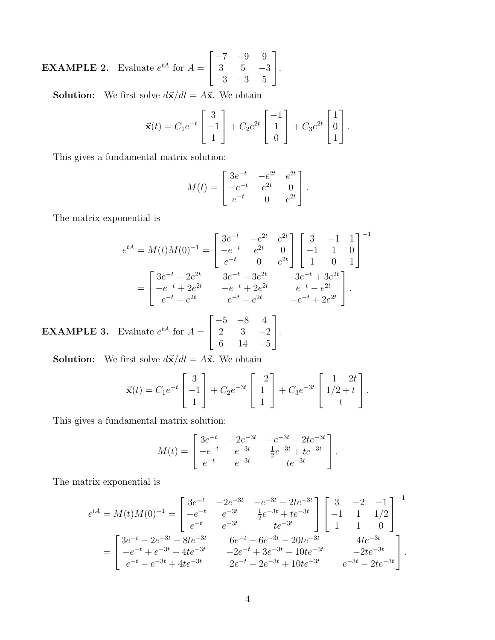**EXAMPLE 2.** Evaluate  $e^{tA}$  for  $A =$  $\sqrt{ }$  $\overline{1}$ −7 −9 9 3 5 −3 −3 −3 5 1  $\vert \cdot$ 

**Solution:** We first solve  $d\vec{x}/dt = A\vec{x}$ . We obtain

$$
\vec{\mathbf{x}}(t) = C_1 e^{-t} \begin{bmatrix} 3 \\ -1 \\ 1 \end{bmatrix} + C_2 e^{2t} \begin{bmatrix} -1 \\ 1 \\ 0 \end{bmatrix} + C_3 e^{2t} \begin{bmatrix} 1 \\ 0 \\ 1 \end{bmatrix}.
$$

This gives a fundamental matrix solution:

$$
M(t) = \begin{bmatrix} 3e^{-t} & -e^{2t} & e^{2t} \\ -e^{-t} & e^{2t} & 0 \\ e^{-t} & 0 & e^{2t} \end{bmatrix}.
$$

The matrix exponential is

EXAMPLE 3.

$$
e^{tA} = M(t)M(0)^{-1} = \begin{bmatrix} 3e^{-t} & -e^{2t} & e^{2t} \\ -e^{-t} & e^{2t} & 0 \\ e^{-t} & 0 & e^{2t} \end{bmatrix} \begin{bmatrix} 3 & -1 & 1 \\ -1 & 1 & 0 \\ 1 & 0 & 1 \end{bmatrix}^{-1}
$$

$$
= \begin{bmatrix} 3e^{-t} - 2e^{2t} & 3e^{-t} - 3e^{2t} & -3e^{-t} + 3e^{2t} \\ -e^{-t} + 2e^{2t} & -e^{-t} + 2e^{2t} & e^{-t} - e^{2t} \\ e^{-t} - e^{2t} & e^{-t} - e^{2t} & -e^{-t} + 2e^{2t} \end{bmatrix}.
$$
 Evaluate  $e^{tA}$  for  $A = \begin{bmatrix} -5 & -8 & 4 \\ 2 & 3 & -2 \\ 6 & 14 & -5 \end{bmatrix}$ .

**Solution:** We first solve  $d\vec{x}/dt = A\vec{x}$ . We obtain

$$
\vec{\mathbf{x}}(t) = C_1 e^{-t} \begin{bmatrix} 3 \\ -1 \\ 1 \end{bmatrix} + C_2 e^{-3t} \begin{bmatrix} -2 \\ 1 \\ 1 \end{bmatrix} + C_3 e^{-3t} \begin{bmatrix} -1 - 2t \\ 1/2 + t \\ t \end{bmatrix}.
$$

This gives a fundamental matrix solution:

$$
M(t) = \begin{bmatrix} 3e^{-t} & -2e^{-3t} & -e^{-3t} - 2te^{-3t} \\ -e^{-t} & e^{-3t} & \frac{1}{2}e^{-3t} + te^{-3t} \\ e^{-t} & e^{-3t} & te^{-3t} \end{bmatrix}.
$$

The matrix exponential is

$$
e^{tA} = M(t)M(0)^{-1} = \begin{bmatrix} 3e^{-t} & -2e^{-3t} & -e^{-3t} - 2te^{-3t} \ -e^{-t} & e^{-3t} & \frac{1}{2}e^{-3t} + te^{-3t} \ e^{-t} & e^{-3t} & te^{-3t} \end{bmatrix} \begin{bmatrix} 3 & -2 & -1 \ -1 & 1 & 1/2 \ 1 & 1 & 0 \end{bmatrix}^{-1}
$$

$$
= \begin{bmatrix} 3e^{-t} - 2e^{-3t} - 8te^{-3t} & 6e^{-t} - 6e^{-3t} - 20te^{-3t} & 4te^{-3t} \ -e^{-t} + e^{-3t} + 4te^{-3t} & -2e^{-t} + 3e^{-3t} + 10te^{-3t} & -2te^{-3t} \ e^{-t} - e^{-3t} + 4te^{-3t} & 2e^{-t} - 2e^{-3t} + 10te^{-3t} & e^{-3t} - 2te^{-3t} \end{bmatrix}.
$$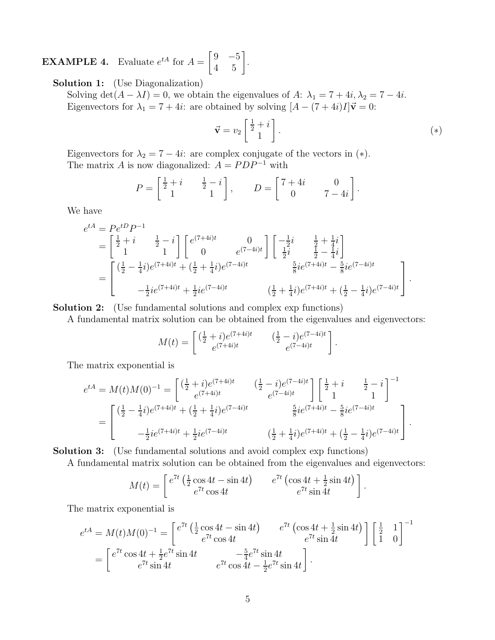**EXAMPLE 4.** Evaluate  $e^{tA}$  for  $A = \begin{bmatrix} 9 & -5 \\ 4 & 5 \end{bmatrix}$ 4 5 1 .

Solution 1: (Use Diagonalization)

Solving det( $A - \lambda I$ ) = 0, we obtain the eigenvalues of A:  $\lambda_1 = 7 + 4i$ ,  $\lambda_2 = 7 - 4i$ . Eigenvectors for  $\lambda_1 = 7 + 4i$ : are obtained by solving  $[A - (7 + 4i)I]\vec{v} = 0$ :

$$
\vec{\mathbf{v}} = v_2 \begin{bmatrix} \frac{1}{2} + i \\ 1 \end{bmatrix} . \tag{*}
$$

.

Eigenvectors for  $\lambda_2 = 7 - 4i$ : are complex conjugate of the vectors in (\*). The matrix A is now diagonalized:  $A = PDP^{-1}$  with

$$
P = \begin{bmatrix} \frac{1}{2} + i & \frac{1}{2} - i \\ 1 & 1 \end{bmatrix}, \qquad D = \begin{bmatrix} 7 + 4i & 0 \\ 0 & 7 - 4i \end{bmatrix}.
$$

We have

$$
e^{tA} = Pe^{tD}P^{-1}
$$
  
=  $\begin{bmatrix} \frac{1}{2} + i & \frac{1}{2} - i \\ 1 & 1 \end{bmatrix} \begin{bmatrix} e^{(7+4i)t} & 0 \\ 0 & e^{(7-4i)t} \end{bmatrix} \begin{bmatrix} -\frac{1}{2}i & \frac{1}{2} + \frac{1}{4}i \\ \frac{1}{2}i & \frac{1}{2} - \frac{1}{4}i \end{bmatrix}$   
=  $\begin{bmatrix} (\frac{1}{2} - \frac{1}{4}i)e^{(7+4i)t} + (\frac{1}{2} + \frac{1}{4}i)e^{(7-4i)t} & \frac{5}{8}ie^{(7+4i)t} - \frac{5}{8}ie^{(7-4i)t} \\ -\frac{1}{2}ie^{(7+4i)t} + \frac{1}{2}ie^{(7-4i)t} & (\frac{1}{2} + \frac{1}{4}i)e^{(7+4i)t} + (\frac{1}{2} - \frac{1}{4}i)e^{(7-4i)t} \end{bmatrix}.$ 

Solution 2: (Use fundamental solutions and complex exp functions)

A fundamental matrix solution can be obtained from the eigenvalues and eigenvectors:

$$
M(t) = \begin{bmatrix} \left(\frac{1}{2} + i\right)e^{(7+4i)t} & \left(\frac{1}{2} - i\right)e^{(7-4i)t} \\ e^{(7+4i)t} & e^{(7-4i)t} \end{bmatrix}
$$

The matrix exponential is

$$
e^{tA} = M(t)M(0)^{-1} = \begin{bmatrix} \left(\frac{1}{2} + i\right)e^{(7+4i)t} & \left(\frac{1}{2} - i\right)e^{(7-4i)t} \\ e^{(7+4i)t} & e^{(7-4i)t} \end{bmatrix} \begin{bmatrix} \frac{1}{2} + i & \frac{1}{2} - i \\ 1 & 1 \end{bmatrix}^{-1}
$$

$$
= \begin{bmatrix} \left(\frac{1}{2} - \frac{1}{4}i\right)e^{(7+4i)t} + \left(\frac{1}{2} + \frac{1}{4}i\right)e^{(7-4i)t} & \frac{5}{8}ie^{(7+4i)t} - \frac{5}{8}ie^{(7-4i)t} \\ -\frac{1}{2}ie^{(7+4i)t} + \frac{1}{2}ie^{(7-4i)t} & \left(\frac{1}{2} + \frac{1}{4}i\right)e^{(7+4i)t} + \left(\frac{1}{2} - \frac{1}{4}i\right)e^{(7-4i)t} \end{bmatrix}.
$$

Solution 3: (Use fundamental solutions and avoid complex exp functions)

A fundamental matrix solution can be obtained from the eigenvalues and eigenvectors:

$$
M(t) = \begin{bmatrix} e^{7t} \left(\frac{1}{2}\cos 4t - \sin 4t\right) & e^{7t} \left(\cos 4t + \frac{1}{2}\sin 4t\right) \\ e^{7t} \cos 4t & e^{7t} \sin 4t \end{bmatrix}.
$$

The matrix exponential is

$$
e^{tA} = M(t)M(0)^{-1} = \begin{bmatrix} e^{7t} \left(\frac{1}{2}\cos 4t - \sin 4t\right) & e^{7t} \left(\cos 4t + \frac{1}{2}\sin 4t\right) \\ e^{7t}\cos 4t & e^{7t}\sin 4t \end{bmatrix} \begin{bmatrix} \frac{1}{2} & 1 \\ 1 & 0 \end{bmatrix}^{-1}
$$

$$
= \begin{bmatrix} e^{7t}\cos 4t + \frac{1}{2}e^{7t}\sin 4t & -\frac{5}{4}e^{7t}\sin 4t \\ e^{7t}\sin 4t & e^{7t}\cos 4t - \frac{1}{2}e^{7t}\sin 4t \end{bmatrix}.
$$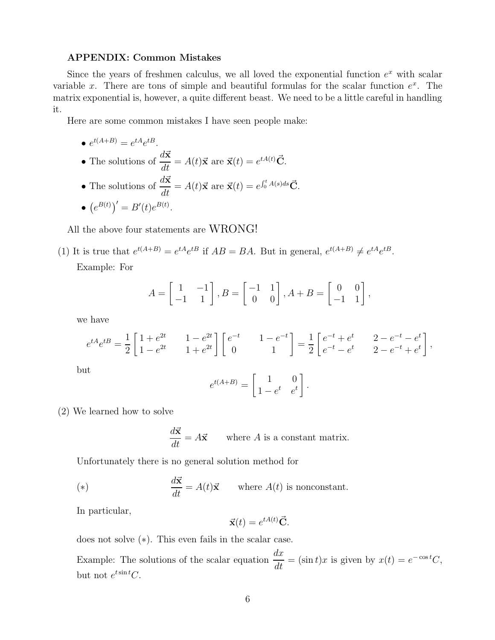## APPENDIX: Common Mistakes

Since the years of freshmen calculus, we all loved the exponential function  $e^x$  with scalar variable x. There are tons of simple and beautiful formulas for the scalar function  $e^x$ . The matrix exponential is, however, a quite different beast. We need to be a little careful in handling it.

Here are some common mistakes I have seen people make:

$$
\bullet \ e^{t(A+B)} = e^{tA}e^{tB}.
$$

• The solutions of 
$$
\frac{d\vec{x}}{dt} = A(t)\vec{x}
$$
 are  $\vec{x}(t) = e^{tA(t)}\vec{C}$ .

• The solutions of  $\frac{d\vec{x}}{dx}$  $\frac{d\mathbf{x}}{dt} = A(t)\vec{\mathbf{x}} \text{ are } \vec{\mathbf{x}}(t) = e^{\int_0^t A(s)ds}\vec{\mathbf{C}}.$ 

$$
\bullet \, \left(e^{B(t)}\right)' = B'(t)e^{B(t)}.
$$

All the above four statements are WRONG!

(1) It is true that 
$$
e^{t(A+B)} = e^{tA}e^{tB}
$$
 if  $AB = BA$ . But in general,  $e^{t(A+B)} \neq e^{tA}e^{tB}$ .  
Example: For

Example: For

$$
A = \begin{bmatrix} 1 & -1 \\ -1 & 1 \end{bmatrix}, B = \begin{bmatrix} -1 & 1 \\ 0 & 0 \end{bmatrix}, A + B = \begin{bmatrix} 0 & 0 \\ -1 & 1 \end{bmatrix},
$$

we have

$$
e^{tA}e^{tB} = \frac{1}{2} \begin{bmatrix} 1+e^{2t} & 1-e^{2t} \\ 1-e^{2t} & 1+e^{2t} \end{bmatrix} \begin{bmatrix} e^{-t} & 1-e^{-t} \\ 0 & 1 \end{bmatrix} = \frac{1}{2} \begin{bmatrix} e^{-t}+e^{t} & 2-e^{-t}-e^{t} \\ e^{-t}-e^{t} & 2-e^{-t}+e^{t} \end{bmatrix},
$$

but

$$
e^{t(A+B)} = \begin{bmatrix} 1 & 0 \\ 1 - e^t & e^t \end{bmatrix}.
$$

(2) We learned how to solve

$$
\frac{d\vec{x}}{dt} = A\vec{x}
$$
 where *A* is a constant matrix.

Unfortunately there is no general solution method for

(\*) 
$$
\frac{d\vec{\mathbf{x}}}{dt} = A(t)\vec{\mathbf{x}} \quad \text{where } A(t) \text{ is nonconstant.}
$$

In particular,

$$
\vec{\mathbf{x}}(t) = e^{tA(t)}\vec{\mathbf{C}}.
$$

does not solve (∗). This even fails in the scalar case.

Example: The solutions of the scalar equation  $dx$  $\frac{dx}{dt} = (\sin t)x$  is given by  $x(t) = e^{-\cos t}C$ , but not  $e^{t \sin t} C$ .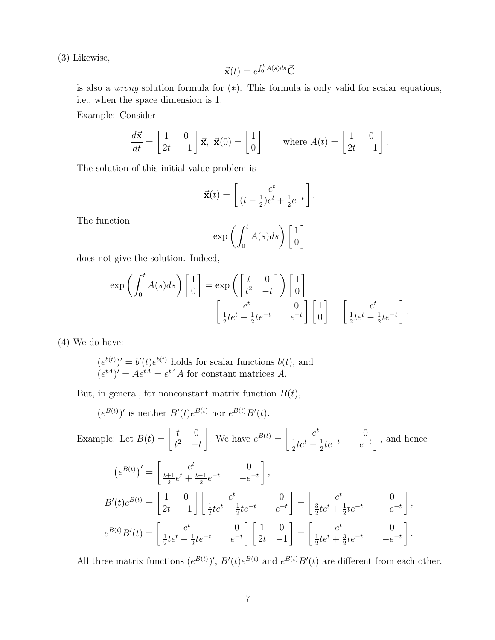(3) Likewise,

$$
\vec{\mathbf{x}}(t) = e^{\int_0^t A(s)ds} \vec{\mathbf{C}}
$$

is also a wrong solution formula for (∗). This formula is only valid for scalar equations, i.e., when the space dimension is 1.

Example: Consider

$$
\frac{d\vec{\mathbf{x}}}{dt} = \begin{bmatrix} 1 & 0 \\ 2t & -1 \end{bmatrix} \vec{\mathbf{x}}, \ \vec{\mathbf{x}}(0) = \begin{bmatrix} 1 \\ 0 \end{bmatrix} \qquad \text{where } A(t) = \begin{bmatrix} 1 & 0 \\ 2t & -1 \end{bmatrix}.
$$

The solution of this initial value problem is

$$
\vec{\mathbf{x}}(t) = \begin{bmatrix} e^t \\ (t - \frac{1}{2})e^t + \frac{1}{2}e^{-t} \end{bmatrix}.
$$

The function

$$
\exp\left(\int_0^t A(s)ds\right)\left[\begin{array}{c}1\\0\end{array}\right]
$$

does not give the solution. Indeed,

$$
\exp\left(\int_0^t A(s)ds\right) \begin{bmatrix} 1 \\ 0 \end{bmatrix} = \exp\left(\begin{bmatrix} t & 0 \\ t^2 & -t \end{bmatrix}\right) \begin{bmatrix} 1 \\ 0 \end{bmatrix}
$$

$$
= \begin{bmatrix} e^t & 0 \\ \frac{1}{2}te^t - \frac{1}{2}te^{-t} & e^{-t} \end{bmatrix} \begin{bmatrix} 1 \\ 0 \end{bmatrix} = \begin{bmatrix} e^t \\ \frac{1}{2}te^t - \frac{1}{2}te^{-t} \end{bmatrix}.
$$

(4) We do have:

 $(e^{b(t)})' = b'(t)e^{b(t)}$  holds for scalar functions  $b(t)$ , and  $(e^{tA})' = Ae^{tA} = e^{tA}A$  for constant matrices A.

But, in general, for nonconstant matrix function  $B(t)$ ,

 $(e^{B(t)})'$  is neither  $B'(t)e^{B(t)}$  nor  $e^{B(t)}B'(t)$ .

Example: Let  $B(t) =$  $\begin{bmatrix} t & 0 \end{bmatrix}$  $t^2$   $-t$ 1 We have  $e^{B(t)} = \begin{bmatrix} e^t & 0 \\ 1_{t-1} & 1_{t-1} \end{bmatrix}$ 1  $rac{1}{2}te^{t} - \frac{1}{2}$  $\frac{1}{2}te^{-t}$   $e^{-t}$ 1 , and hence

$$
(e^{B(t)})' = \begin{bmatrix} e^t & 0 \\ \frac{t+1}{2}e^t + \frac{t-1}{2}e^{-t} & -e^{-t} \end{bmatrix},
$$
  
\n
$$
B'(t)e^{B(t)} = \begin{bmatrix} 1 & 0 \\ 2t & -1 \end{bmatrix} \begin{bmatrix} e^t & 0 \\ \frac{1}{2}te^t - \frac{1}{2}te^{-t} & e^{-t} \end{bmatrix} = \begin{bmatrix} e^t & 0 \\ \frac{3}{2}te^t + \frac{1}{2}te^{-t} & -e^{-t} \end{bmatrix},
$$
  
\n
$$
e^{B(t)}B'(t) = \begin{bmatrix} e^t & 0 \\ \frac{1}{2}te^t - \frac{1}{2}te^{-t} & e^{-t} \end{bmatrix} \begin{bmatrix} 1 & 0 \\ 2t & -1 \end{bmatrix} = \begin{bmatrix} e^t & 0 \\ \frac{1}{2}te^t + \frac{3}{2}te^{-t} & -e^{-t} \end{bmatrix}.
$$

All three matrix functions  $(e^{B(t)})'$ ,  $B'(t)e^{B(t)}$  and  $e^{B(t)}B'(t)$  are different from each other.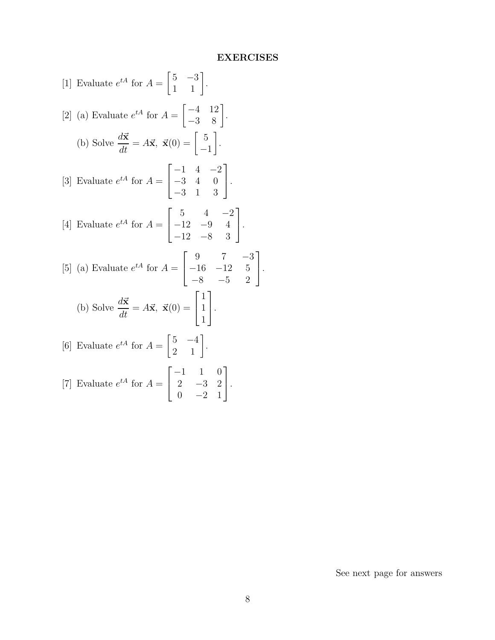## **EXERCISES**

[1] Evaluate 
$$
e^{tA}
$$
 for  $A = \begin{bmatrix} 5 & -3 \\ 1 & 1 \end{bmatrix}$ .  
\n[2] (a) Evaluate  $e^{tA}$  for  $A = \begin{bmatrix} -4 & 12 \\ -3 & 8 \end{bmatrix}$ .  
\n(b) Solve  $\frac{d\vec{x}}{dt} = A\vec{x}$ ,  $\vec{x}(0) = \begin{bmatrix} 5 \\ -1 \end{bmatrix}$ .  
\n[3] Evaluate  $e^{tA}$  for  $A = \begin{bmatrix} -1 & 4 & -2 \\ -3 & 4 & 0 \\ -3 & 1 & 3 \end{bmatrix}$ .  
\n[4] Evaluate  $e^{tA}$  for  $A = \begin{bmatrix} 5 & 4 & -2 \\ -12 & -9 & 4 \\ -12 & -8 & 3 \end{bmatrix}$ .  
\n[5] (a) Evaluate  $e^{tA}$  for  $A = \begin{bmatrix} 9 & 7 & -3 \\ -16 & -12 & 5 \\ -8 & -5 & 2 \end{bmatrix}$ .  
\n(b) Solve  $\frac{d\vec{x}}{dt} = A\vec{x}$ ,  $\vec{x}(0) = \begin{bmatrix} 1 \\ 1 \\ 1 \end{bmatrix}$ .  
\n[6] Evaluate  $e^{tA}$  for  $A = \begin{bmatrix} 5 & -4 \\ 2 & 1 \end{bmatrix}$ .  
\n[7] Evaluate  $e^{tA}$  for  $A = \begin{bmatrix} -1 & 1 & 0 \\ 2 & -3 & 2 \\ 0 & 3 & 1 \end{bmatrix}$ .

 $0 \t -2 \t 1$ 

See next page for answers